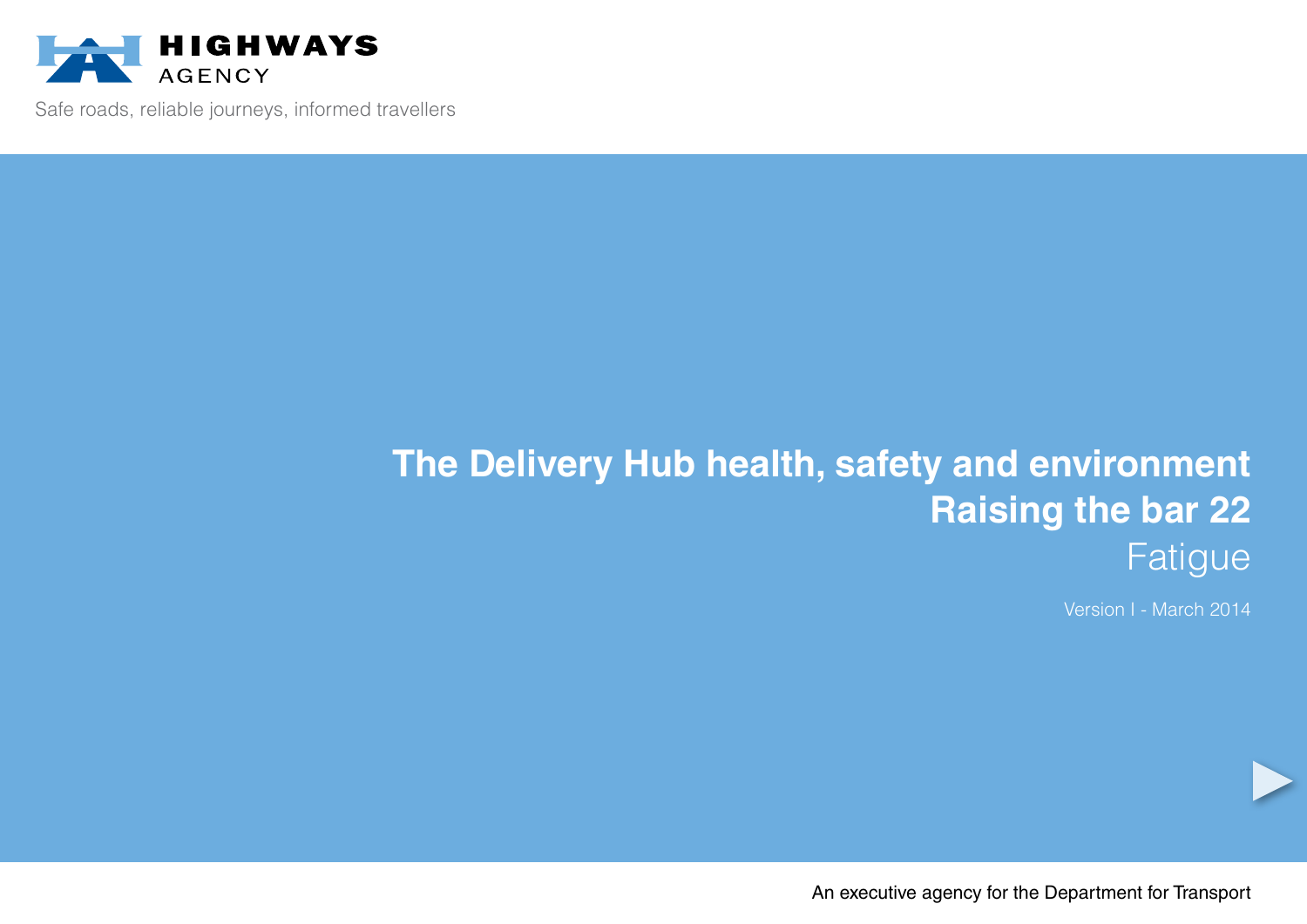

Safe roads, reliable journeys, informed travellers

# **The Delivery Hub health, safety and environment Raising the bar 22** Fatigue

Version I - March 2014

An executive agency for the Department for Transport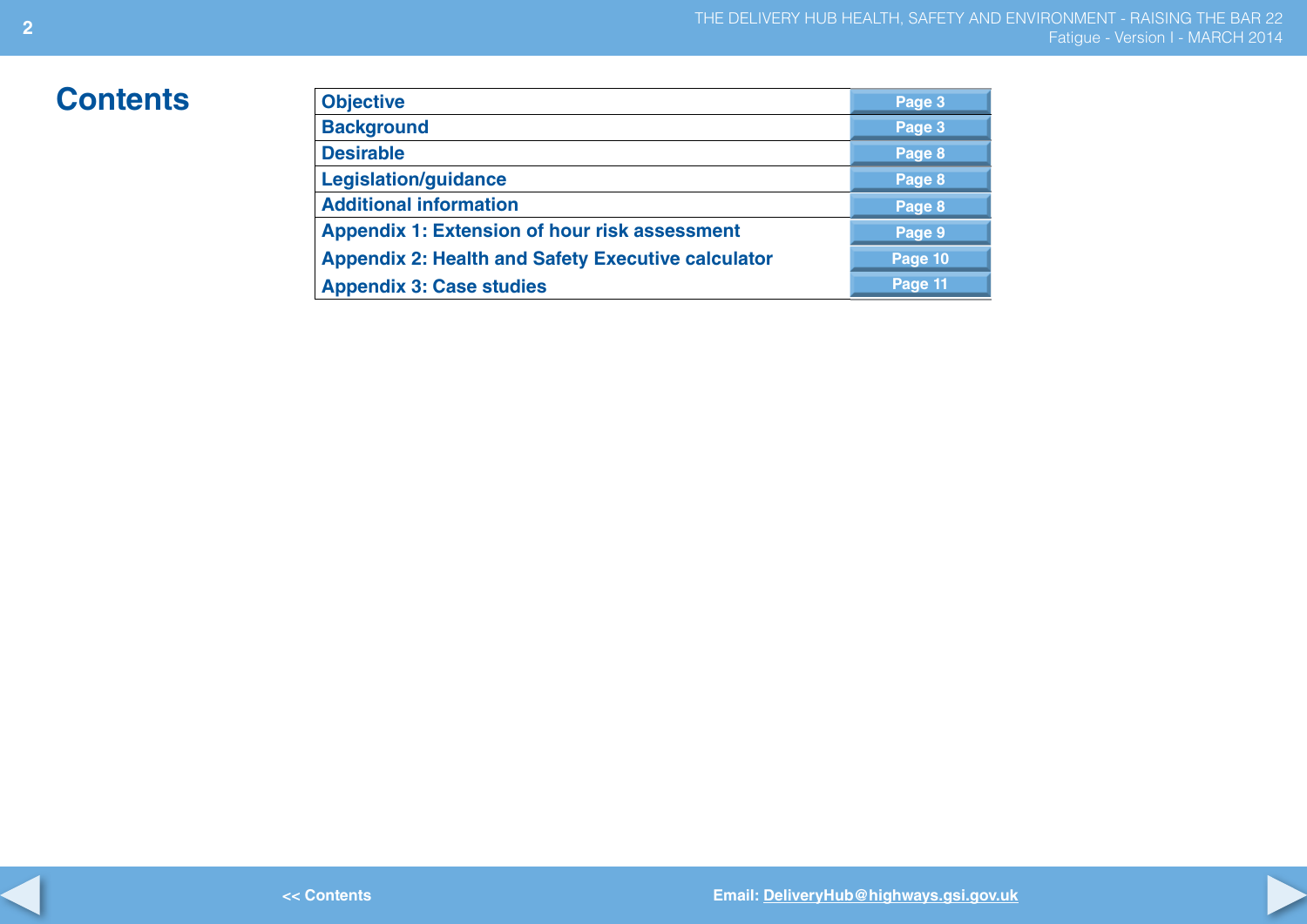## $Contents$

| <b>Objective</b>                                          | Page 3  |
|-----------------------------------------------------------|---------|
| <b>Background</b>                                         | Page 3  |
| <b>Desirable</b>                                          | Page 8  |
| <b>Legislation/guidance</b>                               | Page 8  |
| <b>Additional information</b>                             | Page 8  |
| <b>Appendix 1: Extension of hour risk assessment</b>      | Page 9  |
| <b>Appendix 2: Health and Safety Executive calculator</b> | Page 10 |
| <b>Appendix 3: Case studies</b>                           | Page 11 |

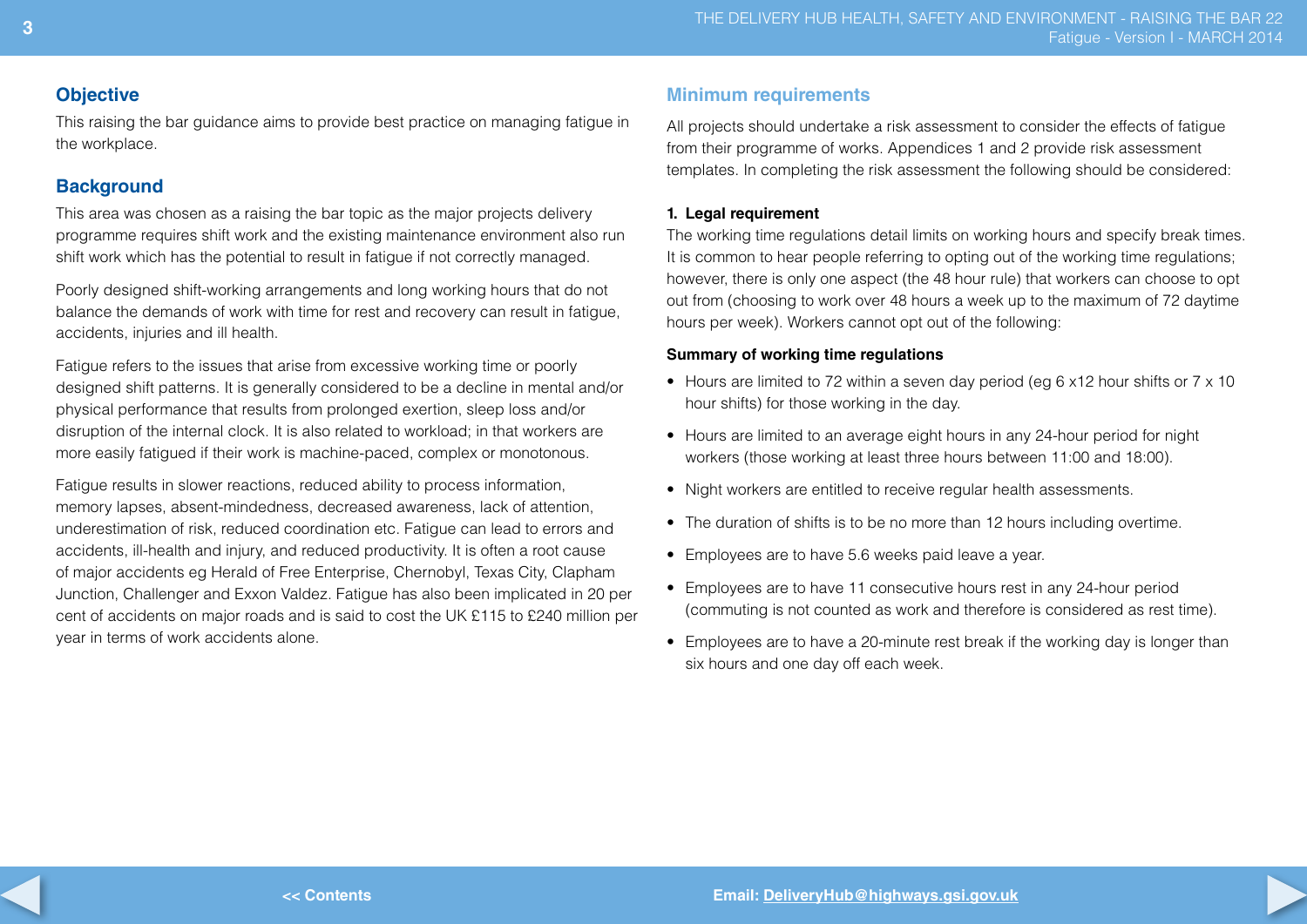## **Objective**

This raising the bar guidance aims to provide best practice on managing fatigue in the workplace.

## **Background**

This area was chosen as a raising the bar topic as the major projects delivery programme requires shift work and the existing maintenance environment also run shift work which has the potential to result in fatigue if not correctly managed.

Poorly designed shift-working arrangements and long working hours that do not balance the demands of work with time for rest and recovery can result in fatigue, accidents, injuries and ill health.

Fatigue refers to the issues that arise from excessive working time or poorly designed shift patterns. It is generally considered to be a decline in mental and/or physical performance that results from prolonged exertion, sleep loss and/or disruption of the internal clock. It is also related to workload; in that workers are more easily fatigued if their work is machine-paced, complex or monotonous.

Fatigue results in slower reactions, reduced ability to process information, memory lapses, absent-mindedness, decreased awareness, lack of attention, underestimation of risk, reduced coordination etc. Fatigue can lead to errors and accidents, ill-health and injury, and reduced productivity. It is often a root cause of major accidents eg Herald of Free Enterprise, Chernobyl, Texas City, Clapham Junction, Challenger and Exxon Valdez. Fatigue has also been implicated in 20 per cent of accidents on major roads and is said to cost the UK £115 to £240 million per year in terms of work accidents alone.

## **Minimum requirements**

All projects should undertake a risk assessment to consider the effects of fatigue from their programme of works. Appendices 1 and 2 provide risk assessment templates. In completing the risk assessment the following should be considered:

## **1. Legal requirement**

The working time regulations detail limits on working hours and specify break times. It is common to hear people referring to opting out of the working time regulations; however, there is only one aspect (the 48 hour rule) that workers can choose to opt out from (choosing to work over 48 hours a week up to the maximum of 72 daytime hours per week). Workers cannot opt out of the following:

## **Summary of working time regulations**

- Hours are limited to 72 within a seven day period (eg 6 x12 hour shifts or 7 x 10 hour shifts) for those working in the day.
- Hours are limited to an average eight hours in any 24-hour period for night workers (those working at least three hours between 11:00 and 18:00).
- Night workers are entitled to receive regular health assessments.
- The duration of shifts is to be no more than 12 hours including overtime.
- Employees are to have 5.6 weeks paid leave a year.
- Employees are to have 11 consecutive hours rest in any 24-hour period (commuting is not counted as work and therefore is considered as rest time).
- Employees are to have a 20-minute rest break if the working day is longer than six hours and one day off each week.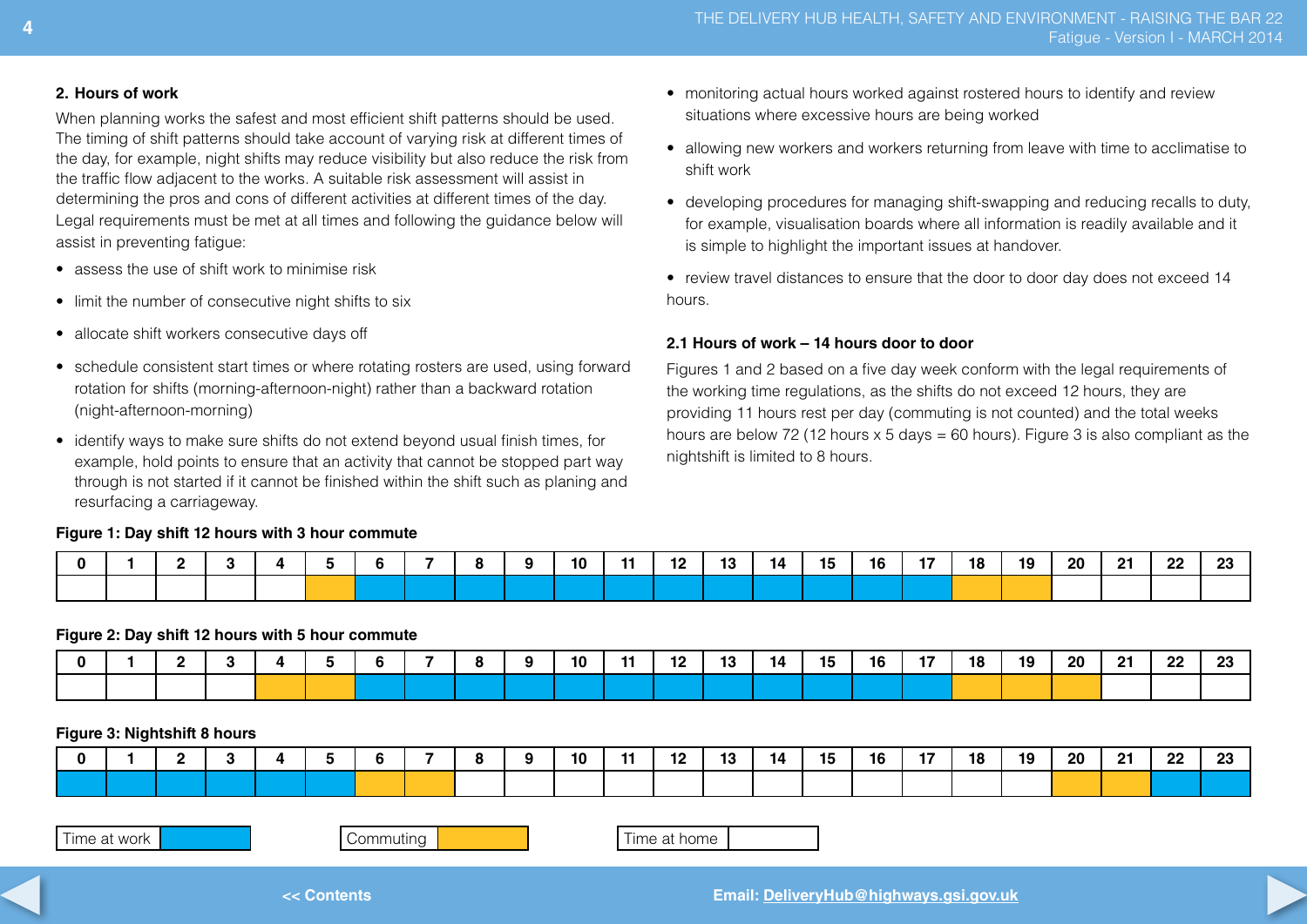• monitoring actual hours worked against rostered hours to identify and review

• allowing new workers and workers returning from leave with time to acclimatise to

• developing procedures for managing shift-swapping and reducing recalls to duty, for example, visualisation boards where all information is readily available and it

• review travel distances to ensure that the door to door day does not exceed 14

Figures 1 and 2 based on a five day week conform with the legal requirements of the working time regulations, as the shifts do not exceed 12 hours, they are providing 11 hours rest per day (commuting is not counted) and the total weeks hours are below 72 (12 hours  $x$  5 days = 60 hours). Figure 3 is also compliant as the

situations where excessive hours are being worked

is simple to highlight the important issues at handover.

**2.1 Hours of work – 14 hours door to door**

nightshift is limited to 8 hours.

#### **2. Hours of work**

When planning works the safest and most efficient shift patterns should be used. The timing of shift patterns should take account of varying risk at different times of the day, for example, night shifts may reduce visibility but also reduce the risk from the traffic flow adjacent to the works. A suitable risk assessment will assist in determining the pros and cons of different activities at different times of the day. Legal requirements must be met at all times and following the guidance below will assist in preventing fatigue:

- assess the use of shift work to minimise risk
- limit the number of consecutive night shifts to six
- allocate shift workers consecutive days off
- schedule consistent start times or where rotating rosters are used, using forward rotation for shifts (morning-afternoon-night) rather than a backward rotation (night-afternoon-morning)
- identify ways to make sure shifts do not extend beyond usual finish times, for example, hold points to ensure that an activity that cannot be stopped part way through is not started if it cannot be finished within the shift such as planing and resurfacing a carriageway.

### **Figure 1: Day shift 12 hours with 3 hour commute**

0 | 1 | 2 | 3 | 4 | 5 | 6 | 7 | 8 | 9 | 10 | 11 | 12 | 13 | 14 | 15 | 16 | 17 | 18 | 19 | 20 | 21 | 22 | 23

shift work

hours.

#### **Figure 2: Day shift 12 hours with 5 hour commute**

|  |  |  |  |  | 10 | -- | <br>13 | 14. | 15 | 16 | 18 | 10<br>. | 20 | -91 | nn.<br>22 | nn.<br>εv |
|--|--|--|--|--|----|----|--------|-----|----|----|----|---------|----|-----|-----------|-----------|
|  |  |  |  |  |    |    |        |     |    |    |    |         |    |     |           |           |

## **Figure 3: Nightshift 8 hours**

|  |  |  |  |  | 10 |  | - 1<br>IJ | 14 | 15 | 16 | 18 | 19 | -20 | - 24 | ററ<br>-- | nn.<br>. |
|--|--|--|--|--|----|--|-----------|----|----|----|----|----|-----|------|----------|----------|
|  |  |  |  |  |    |  |           |    |    |    |    |    |     |      |          |          |

| Time at work |  |
|--------------|--|
|--------------|--|

Commuting **Time at home** 

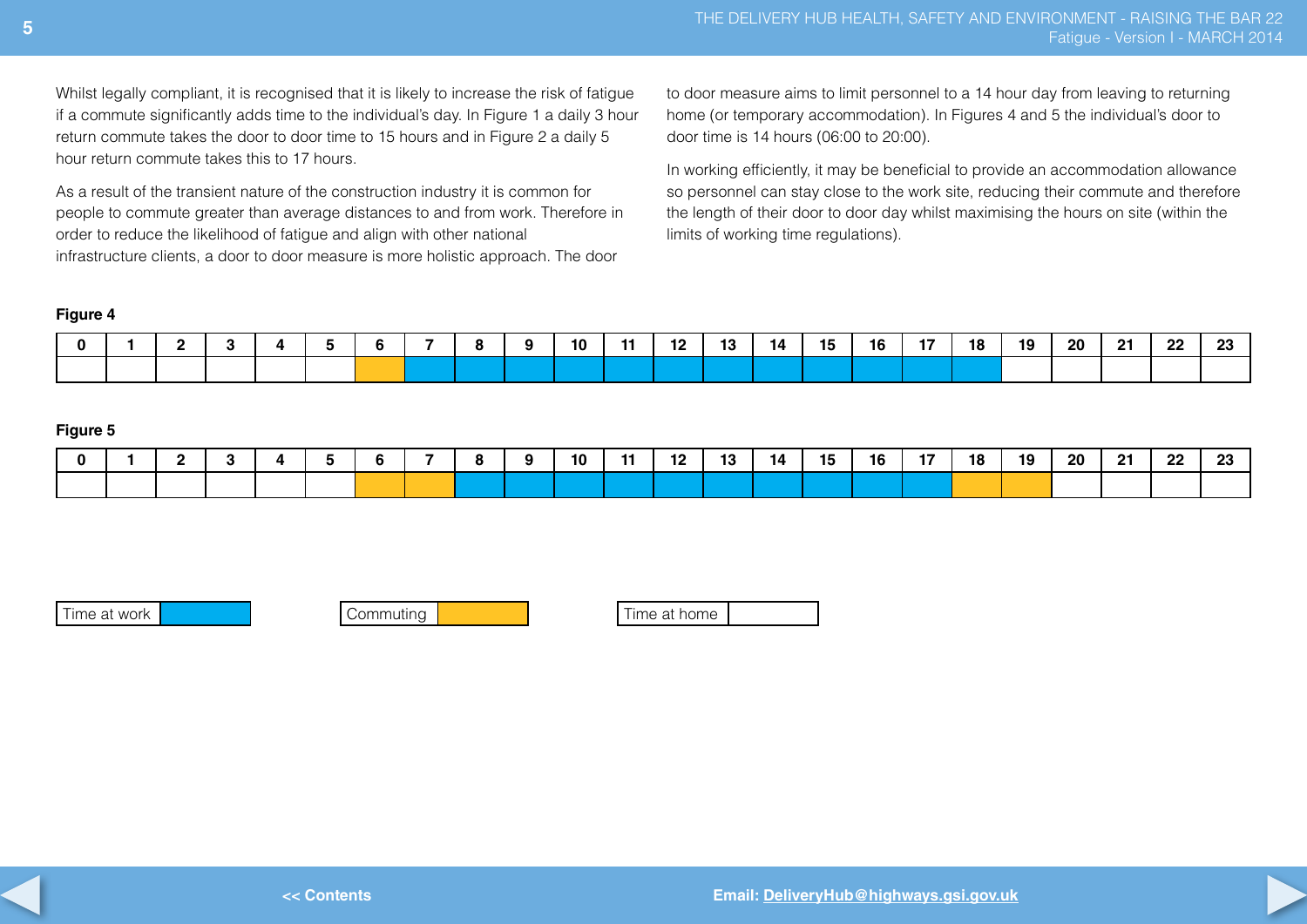Whilst legally compliant, it is recognised that it is likely to increase the risk of fatigue if a commute significantly adds time to the individual's day. In Figure 1 a daily 3 hour return commute takes the door to door time to 15 hours and in Figure 2 a daily 5 hour return commute takes this to 17 hours.

As a result of the transient nature of the construction industry it is common for people to commute greater than average distances to and from work. Therefore in order to reduce the likelihood of fatigue and align with other national infrastructure clients, a door to door measure is more holistic approach. The door

to door measure aims to limit personnel to a 14 hour day from leaving to returning home (or temporary accommodation). In Figures 4 and 5 the individual's door to door time is 14 hours (06:00 to 20:00).

In working efficiently, it may be beneficial to provide an accommodation allowance so personnel can stay close to the work site, reducing their commute and therefore the length of their door to door day whilst maximising the hours on site (within the limits of working time regulations).

#### **Figure 4**

|  |  |  |  |  | 10 |  | $\sim$<br>13 | 14 | 15 | 16 | 18 | 10 | 20 | - 22 | 22 | nn.<br>Lυ |
|--|--|--|--|--|----|--|--------------|----|----|----|----|----|----|------|----|-----------|
|  |  |  |  |  |    |  |              |    |    |    |    |    |    |      |    |           |

#### **Figure 5**

|  |  |  |  |  | 10 | -11 | - -<br>LZ | 13 | 14 | 15 | 16 | 18 | 19 | <b>20</b> | - 24 | 22 | nn. |
|--|--|--|--|--|----|-----|-----------|----|----|----|----|----|----|-----------|------|----|-----|
|  |  |  |  |  |    |     |           |    |    |    |    |    |    |           |      |    |     |

Time at work Commuting Time at home



**<< Contents**

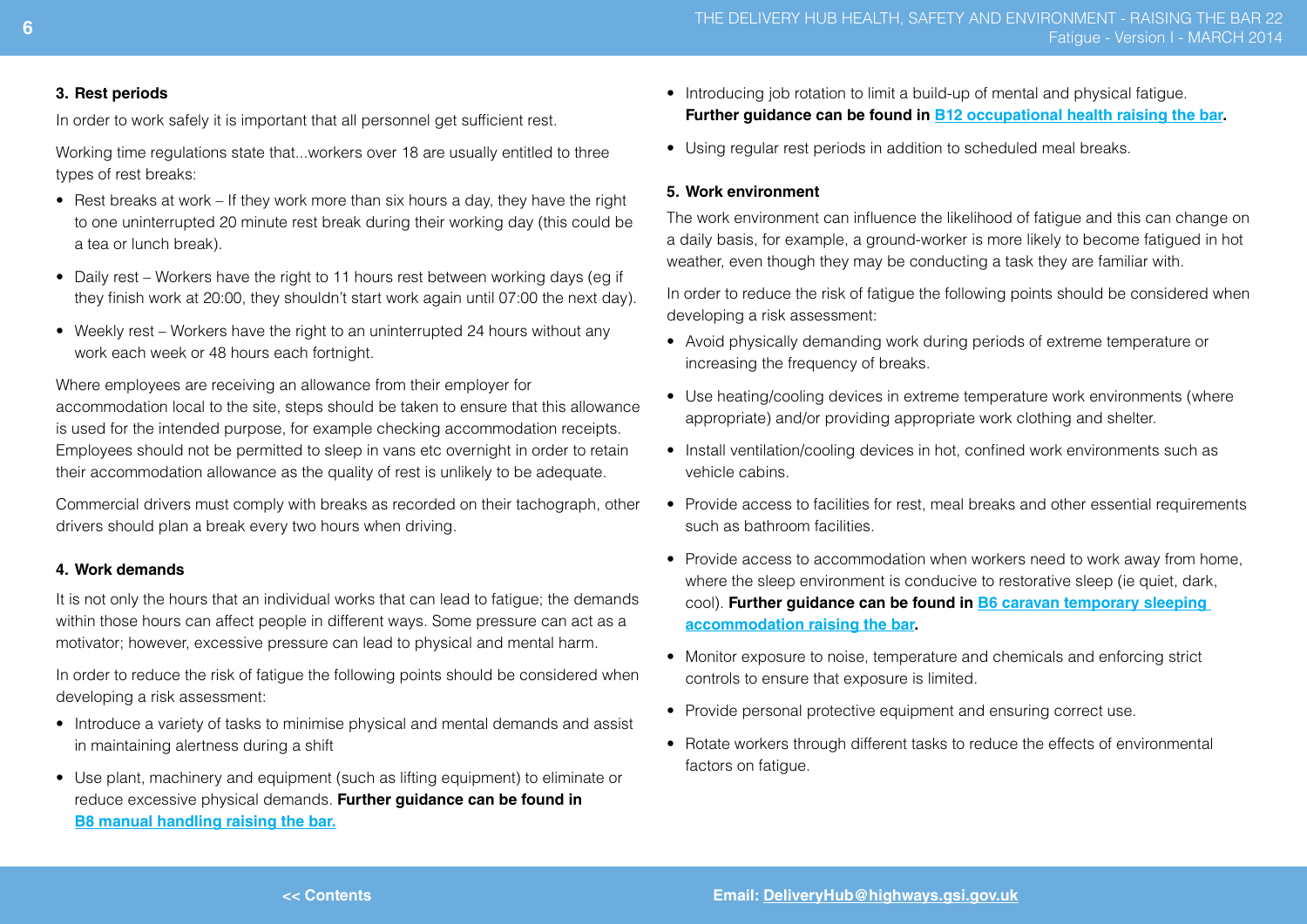#### **3. Rest periods**

In order to work safely it is important that all personnel get sufficient rest.

Working time regulations state that...workers over 18 are usually entitled to three types of rest breaks:

- Rest breaks at work If they work more than six hours a day, they have the right to one uninterrupted 20 minute rest break during their working day (this could be a tea or lunch break).
- Daily rest Workers have the right to 11 hours rest between working days (eg if they finish work at 20:00, they shouldn't start work again until 07:00 the next day).
- Weekly rest Workers have the right to an uninterrupted 24 hours without any work each week or 48 hours each fortnight.

Where employees are receiving an allowance from their employer for accommodation local to the site, steps should be taken to ensure that this allowance is used for the intended purpose, for example checking accommodation receipts. Employees should not be permitted to sleep in vans etc overnight in order to retain their accommodation allowance as the quality of rest is unlikely to be adequate.

Commercial drivers must comply with breaks as recorded on their tachograph, other drivers should plan a break every two hours when driving.

#### **4. Work demands**

It is not only the hours that an individual works that can lead to fatigue; the demands within those hours can affect people in different ways. Some pressure can act as a motivator; however, excessive pressure can lead to physical and mental harm.

In order to reduce the risk of fatigue the following points should be considered when developing a risk assessment:

- Introduce a variety of tasks to minimise physical and mental demands and assist in maintaining alertness during a shift
- Use plant, machinery and equipment (such as lifting equipment) to eliminate or reduce excessive physical demands. **Further guidance can be found in [B8 manual handling raising the bar.](http://assets.highways.gov.uk/our-road-network/major-projects-delivery-hub-health-%26-safety-action-group/B8%20Manual%20Handling.pdf)**
- Introducing job rotation to limit a build-up of mental and physical fatigue. **Further guidance can be found in [B12 occupational health raising the bar.](http://assets.highways.gov.uk/our-road-network/major-projects-delivery-hub-health-%26-safety-action-group/B12%20Occupational%20Health.pdf)**
- Using regular rest periods in addition to scheduled meal breaks.

#### **5. Work environment**

The work environment can influence the likelihood of fatigue and this can change on a daily basis, for example, a ground-worker is more likely to become fatigued in hot weather, even though they may be conducting a task they are familiar with.

In order to reduce the risk of fatigue the following points should be considered when developing a risk assessment:

- • Avoid physically demanding work during periods of extreme temperature or increasing the frequency of breaks.
- Use heating/cooling devices in extreme temperature work environments (where appropriate) and/or providing appropriate work clothing and shelter.
- Install ventilation/cooling devices in hot, confined work environments such as vehicle cabins.
- Provide access to facilities for rest, meal breaks and other essential requirements such as bathroom facilities.
- Provide access to accommodation when workers need to work away from home. where the sleep environment is conducive to restorative sleep (ie quiet, dark, cool). **Further guidance can be found in [B6 caravan temporary sleeping](http://assets.highways.gov.uk/our-road-network/major-projects-delivery-hub-health-%26-safety-action-group/B6%20Caravan%20Temporary%20Sleeping%20Accommodation.pdf)  [accommodation raising the bar](http://assets.highways.gov.uk/our-road-network/major-projects-delivery-hub-health-%26-safety-action-group/B6%20Caravan%20Temporary%20Sleeping%20Accommodation.pdf).**
- Monitor exposure to noise, temperature and chemicals and enforcing strict controls to ensure that exposure is limited.
- Provide personal protective equipment and ensuring correct use.
- Rotate workers through different tasks to reduce the effects of environmental factors on fatigue.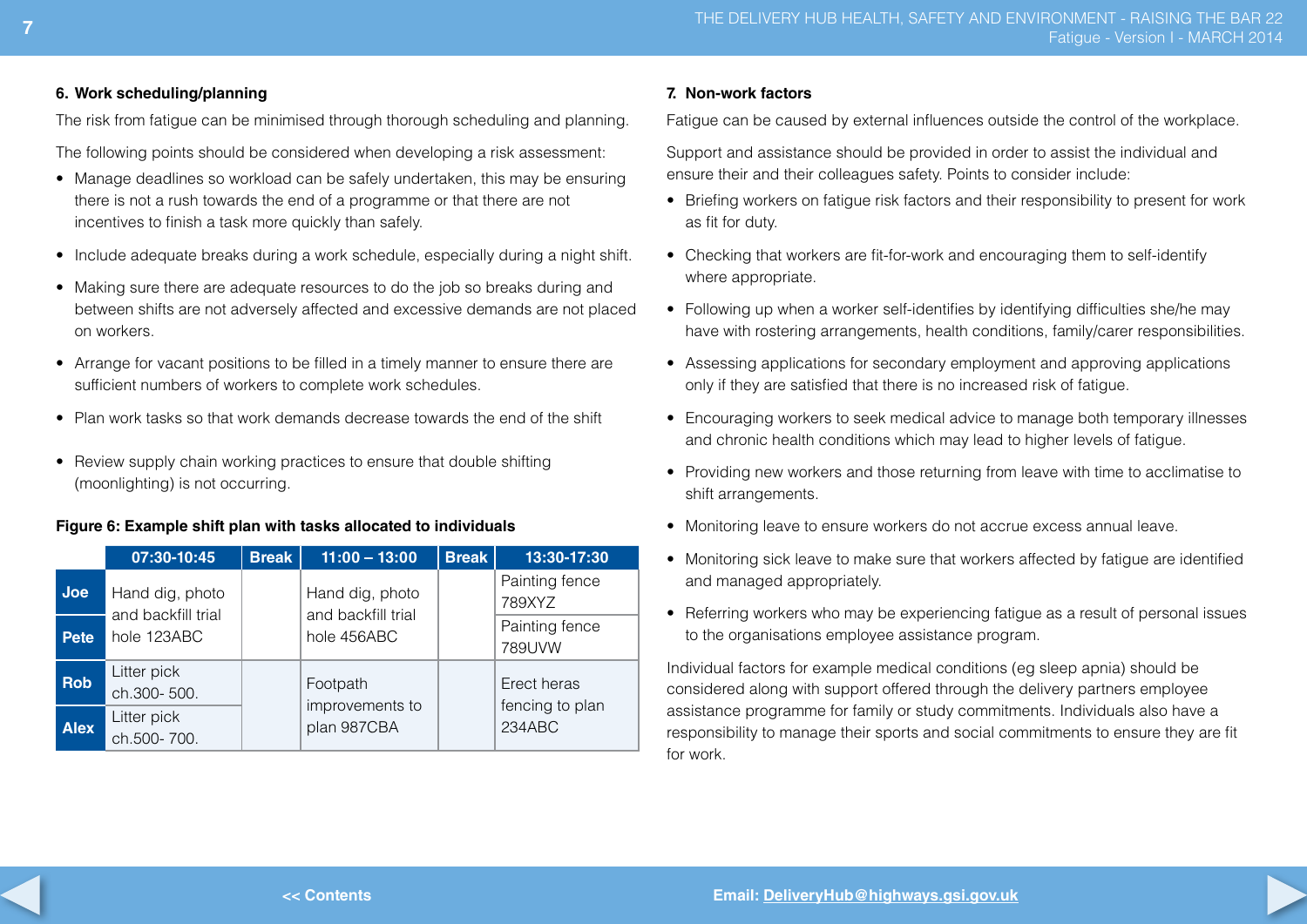#### **6. Work scheduling/planning**

The risk from fatigue can be minimised through thorough scheduling and planning.

The following points should be considered when developing a risk assessment:

- Manage deadlines so workload can be safely undertaken, this may be ensuring there is not a rush towards the end of a programme or that there are not incentives to finish a task more quickly than safely.
- Include adequate breaks during a work schedule, especially during a night shift.
- Making sure there are adequate resources to do the job so breaks during and between shifts are not adversely affected and excessive demands are not placed on workers.
- Arrange for vacant positions to be filled in a timely manner to ensure there are sufficient numbers of workers to complete work schedules.
- Plan work tasks so that work demands decrease towards the end of the shift
- Review supply chain working practices to ensure that double shifting (moonlighting) is not occurring.

#### **Figure 6: Example shift plan with tasks allocated to individuals**

|             | 07:30-10:45                           | <b>Break</b> | $11:00 - 13:00$                       | <b>Break</b> | 13:30-17:30                    |
|-------------|---------------------------------------|--------------|---------------------------------------|--------------|--------------------------------|
| <b>Joe</b>  | Hand dig, photo<br>and backfill trial |              | Hand dig, photo<br>and backfill trial |              | Painting fence<br>789XYZ       |
| Pete        | hole 123ABC                           |              | hole 456ABC                           |              | Painting fence<br>789UVW       |
| <b>Rob</b>  | Litter pick<br>ch.300-500.            |              | Footpath<br>improvements to           |              | Erect heras<br>fencing to plan |
| <b>Alex</b> | Litter pick<br>ch.500-700.            |              | plan 987CBA                           |              | 234ABC                         |

#### **7. Non-work factors**

Fatigue can be caused by external influences outside the control of the workplace.

Support and assistance should be provided in order to assist the individual and ensure their and their colleagues safety. Points to consider include:

- Briefing workers on fatigue risk factors and their responsibility to present for work as fit for duty.
- Checking that workers are fit-for-work and encouraging them to self-identify where appropriate.
- Following up when a worker self-identifies by identifying difficulties she/he may have with rostering arrangements, health conditions, family/carer responsibilities.
- Assessing applications for secondary employment and approving applications only if they are satisfied that there is no increased risk of fatigue.
- Encouraging workers to seek medical advice to manage both temporary illnesses and chronic health conditions which may lead to higher levels of fatigue.
- Providing new workers and those returning from leave with time to acclimatise to shift arrangements.
- Monitoring leave to ensure workers do not accrue excess annual leave.
- Monitoring sick leave to make sure that workers affected by fatigue are identified and managed appropriately.
- Referring workers who may be experiencing fatigue as a result of personal issues to the organisations employee assistance program.

Individual factors for example medical conditions (eg sleep apnia) should be considered along with support offered through the delivery partners employee assistance programme for family or study commitments. Individuals also have a responsibility to manage their sports and social commitments to ensure they are fit for work.

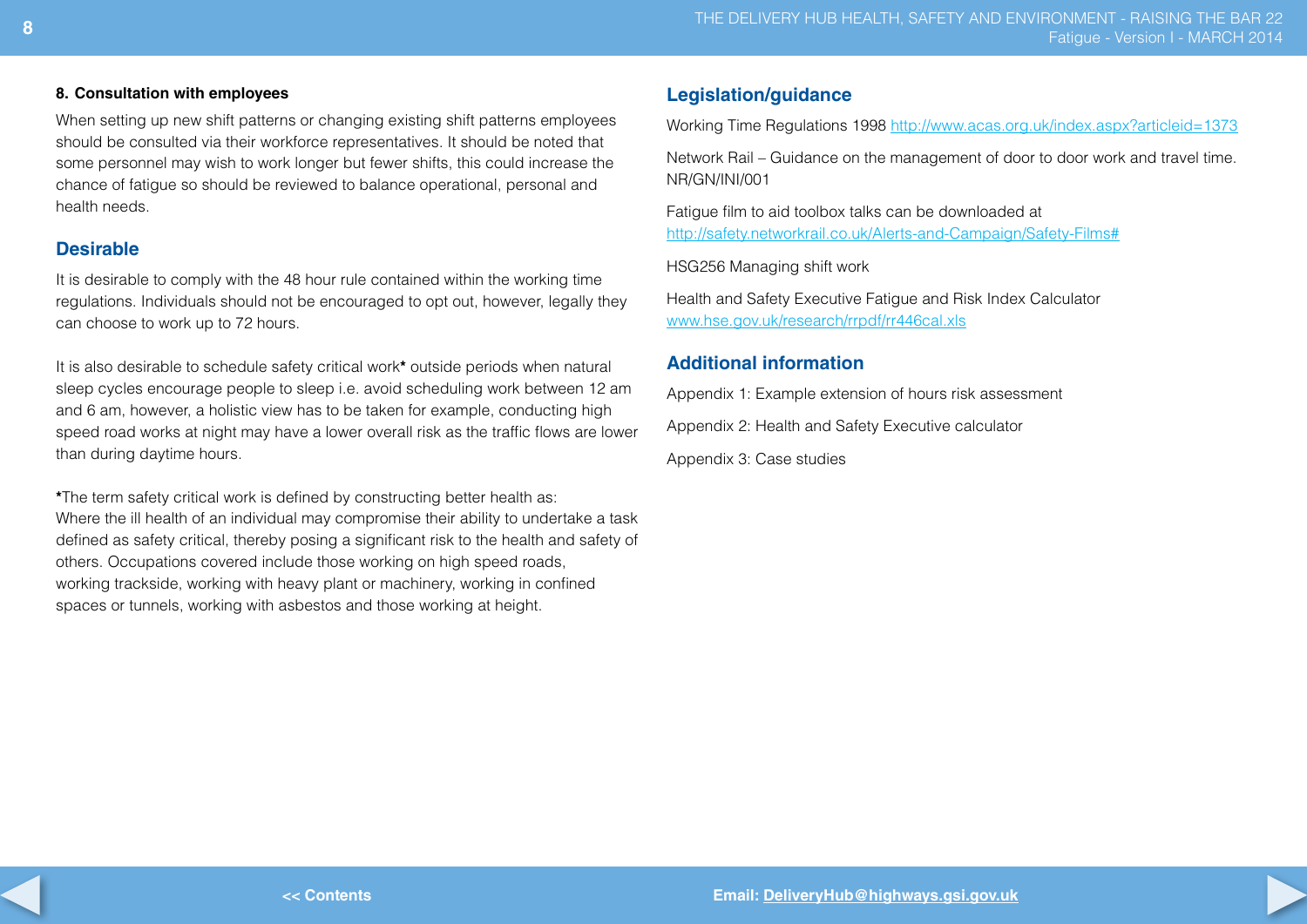#### **8. Consultation with employees**

When setting up new shift patterns or changing existing shift patterns employees should be consulted via their workforce representatives. It should be noted that some personnel may wish to work longer but fewer shifts, this could increase the chance of fatigue so should be reviewed to balance operational, personal and health needs.

## **Desirable**

It is desirable to comply with the 48 hour rule contained within the working time regulations. Individuals should not be encouraged to opt out, however, legally they can choose to work up to 72 hours.

It is also desirable to schedule safety critical work**\*** outside periods when natural sleep cycles encourage people to sleep i.e. avoid scheduling work between 12 am and 6 am, however, a holistic view has to be taken for example, conducting high speed road works at night may have a lower overall risk as the traffic flows are lower than during daytime hours.

**\***The term safety critical work is defined by constructing better health as: Where the ill health of an individual may compromise their ability to undertake a task defined as safety critical, thereby posing a significant risk to the health and safety of others. Occupations covered include those working on high speed roads, working trackside, working with heavy plant or machinery, working in confined spaces or tunnels, working with asbestos and those working at height.

## **Legislation/guidance**

Working Time Regulations 1998 <http://www.acas.org.uk/index.aspx?articleid=1373>

Network Rail – Guidance on the management of door to door work and travel time. NR/GN/INI/001

Fatigue film to aid toolbox talks can be downloaded at <http://safety.networkrail.co.uk/Alerts-and-Campaign/Safety-Films#>

HSG256 Managing shift work

Health and Safety Executive Fatigue and Risk Index Calculator <www.hse.gov.uk/research/rrpdf/rr446cal.xls>

## **Additional information**

Appendix 1: Example extension of hours risk assessment

Appendix 2: Health and Safety Executive calculator

Appendix 3: Case studies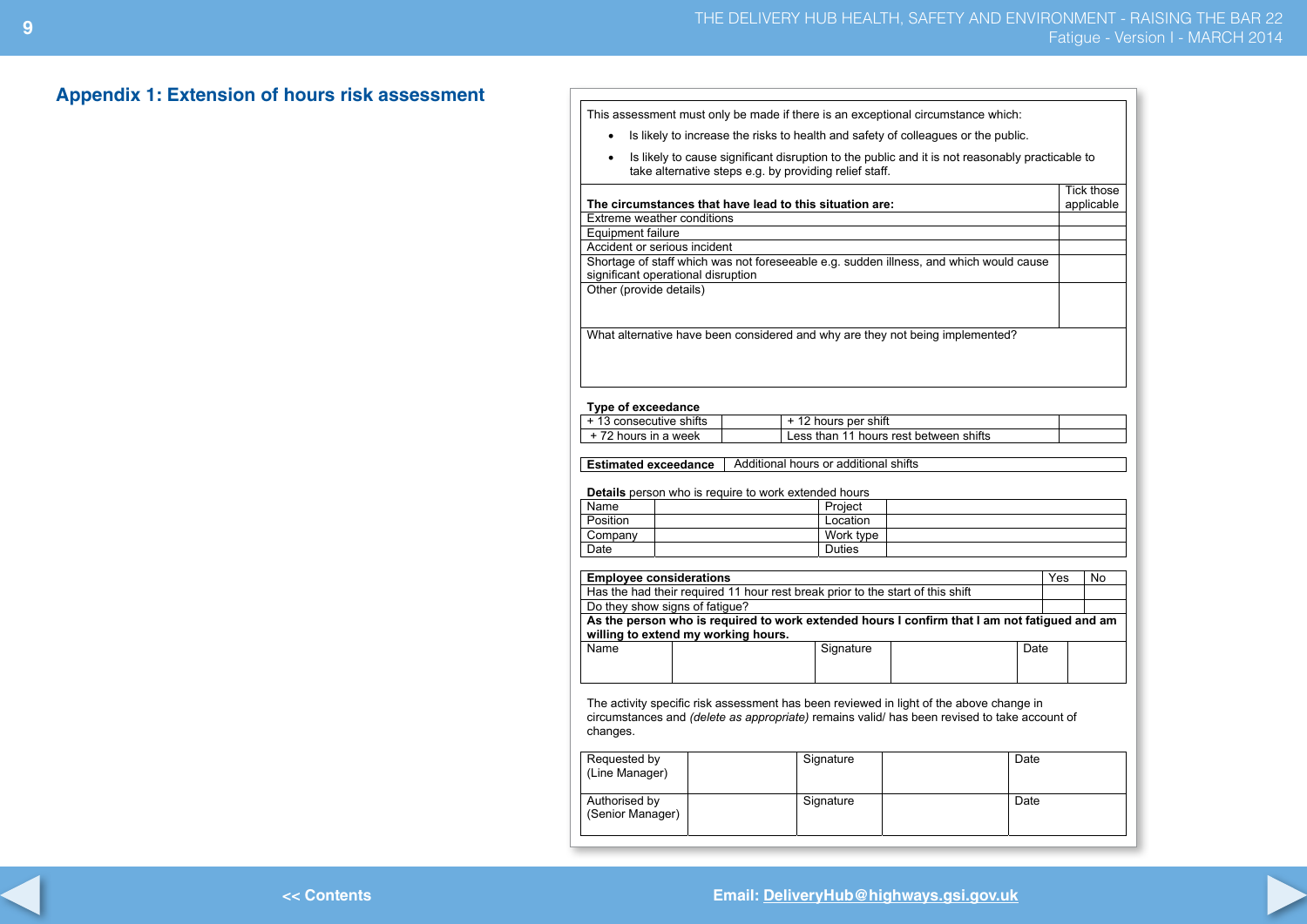## **Appendix 1: Extension of hours risk assessment**

This assessment must only be made if there is an exceptional circumstance which:

- Is likely to increase the risks to health and safety of colleagues or the public.
- Is likely to cause significant disruption to the public and it is not reasonably practicable to take alternative steps e.g. by providing relief staff.

|                                                                                        | <b>Tick those</b> |
|----------------------------------------------------------------------------------------|-------------------|
| The circumstances that have lead to this situation are:                                | applicable        |
| Extreme weather conditions                                                             |                   |
| Equipment failure                                                                      |                   |
| Accident or serious incident                                                           |                   |
| Shortage of staff which was not foreseeable e.g. sudden illness, and which would cause |                   |
| significant operational disruption                                                     |                   |
| Other (provide details)                                                                |                   |
|                                                                                        |                   |
|                                                                                        |                   |
| What alternative have been considered and why are they not being implemented?          |                   |

#### **Type of exceedance**

| + 13 consecutive shifts | + 12 hours per shift                   |  |
|-------------------------|----------------------------------------|--|
| +72 hours in a week     | Less than 11 hours rest between shifts |  |

**Estimated exceedance** <br>Additional hours or additional shifts

**Details** person who is require to work extended hours

| Name     | Project       |  |
|----------|---------------|--|
| Position | Location      |  |
| Company  | Work type     |  |
| Date     | <b>Duties</b> |  |

| <b>Employee considerations</b>                                                               |                                                                                | Yes  | No. |  |  |  |  |  |  |
|----------------------------------------------------------------------------------------------|--------------------------------------------------------------------------------|------|-----|--|--|--|--|--|--|
|                                                                                              | Has the had their required 11 hour rest break prior to the start of this shift |      |     |  |  |  |  |  |  |
| Do they show signs of fatigue?                                                               |                                                                                |      |     |  |  |  |  |  |  |
| As the person who is required to work extended hours I confirm that I am not fatigued and am |                                                                                |      |     |  |  |  |  |  |  |
| willing to extend my working hours.                                                          |                                                                                |      |     |  |  |  |  |  |  |
| Name                                                                                         | Signature                                                                      | Date |     |  |  |  |  |  |  |

| Name | Signature | Date |  |
|------|-----------|------|--|
|      |           |      |  |
|      |           |      |  |

The activity specific risk assessment has been reviewed in light of the above change in circumstances and *(delete as appropriate)* remains valid/ has been revised to take account of changes.

| Requested by<br>(Line Manager)    | Signature | Date |
|-----------------------------------|-----------|------|
| Authorised by<br>(Senior Manager) | Signature | Date |

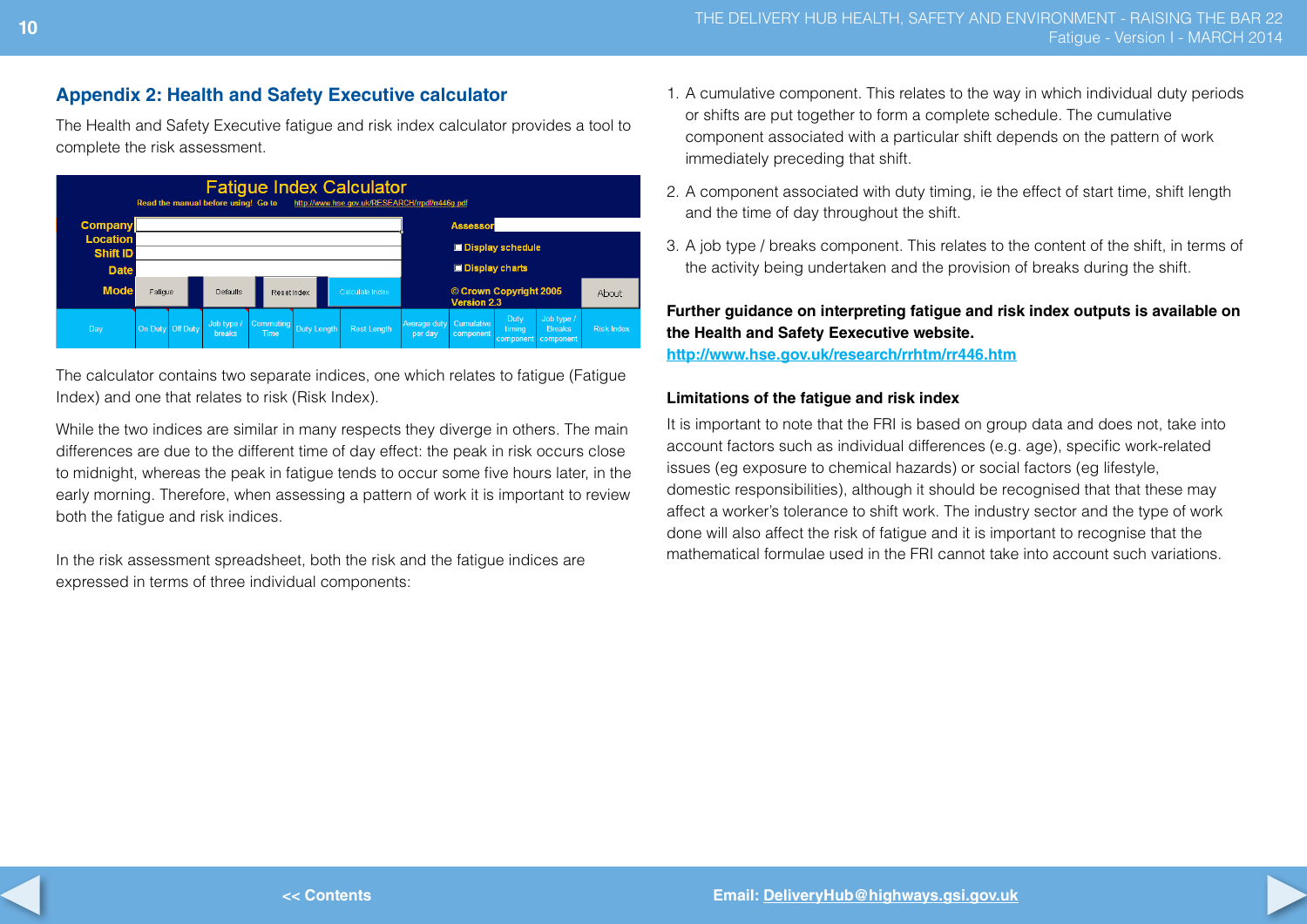## **Appendix 2: Health and Safety Executive calculator**

The Health and Safety Executive fatigue and risk index calculator provides a tool to complete the risk assessment.



The calculator contains two separate indices, one which relates to fatigue (Fatigue Index) and one that relates to risk (Risk Index).

While the two indices are similar in many respects they diverge in others. The main differences are due to the different time of day effect: the peak in risk occurs close to midnight, whereas the peak in fatigue tends to occur some five hours later, in the early morning. Therefore, when assessing a pattern of work it is important to review both the fatigue and risk indices.

In the risk assessment spreadsheet, both the risk and the fatigue indices are expressed in terms of three individual components:

- 1. A cumulative component. This relates to the way in which individual duty periods or shifts are put together to form a complete schedule. The cumulative component associated with a particular shift depends on the pattern of work immediately preceding that shift.
- 2. A component associated with duty timing, ie the effect of start time, shift length and the time of day throughout the shift.
- 3. A job type / breaks component. This relates to the content of the shift, in terms of the activity being undertaken and the provision of breaks during the shift.

## **Further guidance on interpreting fatigue and risk index outputs is available on the Health and Safety Eexecutive website.**

**<http://www.hse.gov.uk/research/rrhtm/rr446.htm>**

#### **Limitations of the fatigue and risk index**

It is important to note that the FRI is based on group data and does not, take into account factors such as individual differences (e.g. age), specific work-related issues (eg exposure to chemical hazards) or social factors (eg lifestyle, domestic responsibilities), although it should be recognised that that these may affect a worker's tolerance to shift work. The industry sector and the type of work done will also affect the risk of fatigue and it is important to recognise that the mathematical formulae used in the FRI cannot take into account such variations.

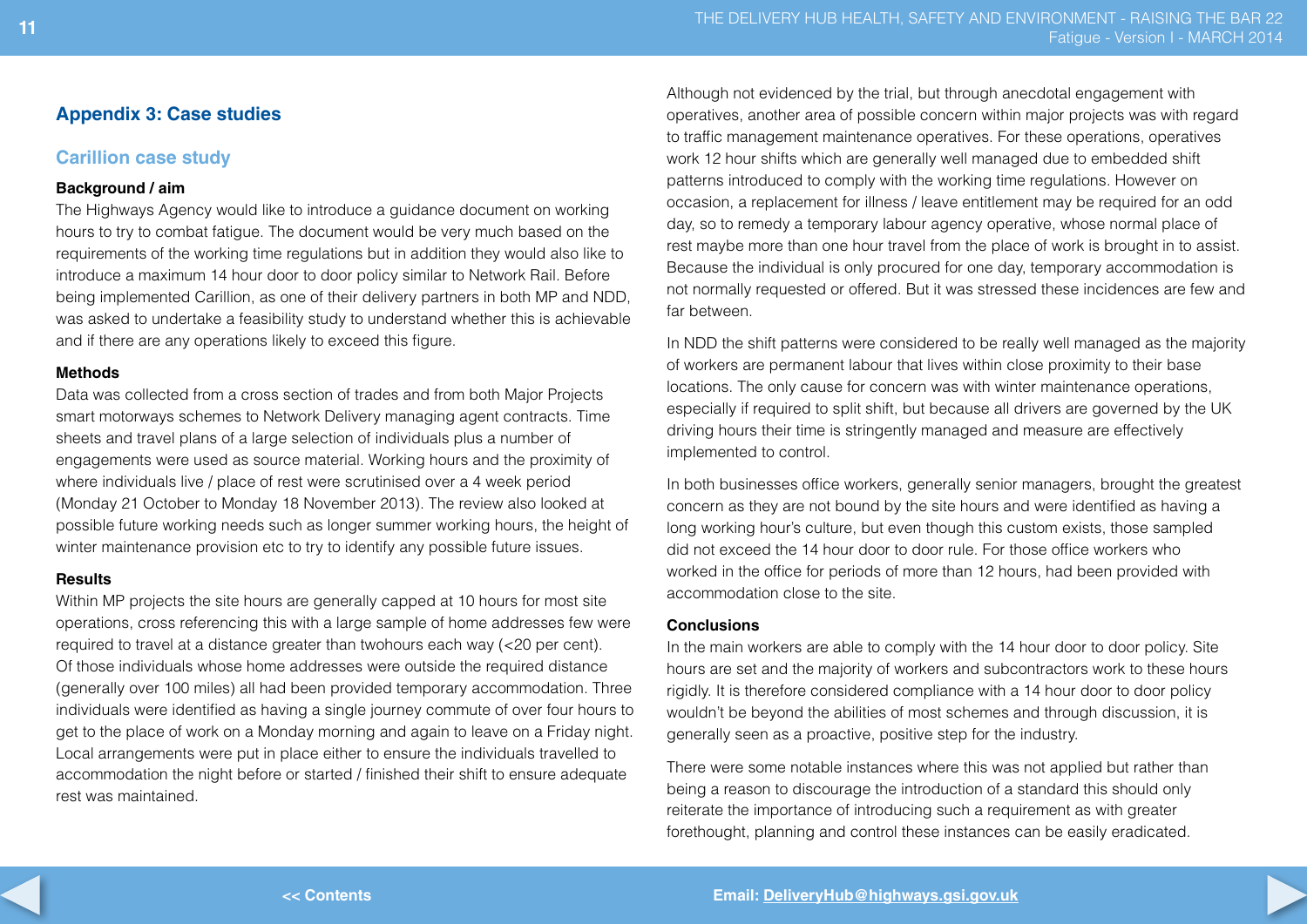## **Appendix 3: Case studies**

## **Carillion case study**

#### **Background / aim**

The Highways Agency would like to introduce a guidance document on working hours to try to combat fatigue. The document would be very much based on the requirements of the working time regulations but in addition they would also like to introduce a maximum 14 hour door to door policy similar to Network Rail. Before being implemented Carillion, as one of their delivery partners in both MP and NDD, was asked to undertake a feasibility study to understand whether this is achievable and if there are any operations likely to exceed this figure.

#### **Methods**

Data was collected from a cross section of trades and from both Major Projects smart motorways schemes to Network Delivery managing agent contracts. Time sheets and travel plans of a large selection of individuals plus a number of engagements were used as source material. Working hours and the proximity of where individuals live / place of rest were scrutinised over a 4 week period (Monday 21 October to Monday 18 November 2013). The review also looked at possible future working needs such as longer summer working hours, the height of winter maintenance provision etc to try to identify any possible future issues.

#### **Results**

Within MP projects the site hours are generally capped at 10 hours for most site operations, cross referencing this with a large sample of home addresses few were required to travel at a distance greater than twohours each way (<20 per cent). Of those individuals whose home addresses were outside the required distance (generally over 100 miles) all had been provided temporary accommodation. Three individuals were identified as having a single journey commute of over four hours to get to the place of work on a Monday morning and again to leave on a Friday night. Local arrangements were put in place either to ensure the individuals travelled to accommodation the night before or started / finished their shift to ensure adequate rest was maintained.

Although not evidenced by the trial, but through anecdotal engagement with operatives, another area of possible concern within major projects was with regard to traffic management maintenance operatives. For these operations, operatives work 12 hour shifts which are generally well managed due to embedded shift patterns introduced to comply with the working time regulations. However on occasion, a replacement for illness / leave entitlement may be required for an odd day, so to remedy a temporary labour agency operative, whose normal place of rest maybe more than one hour travel from the place of work is brought in to assist. Because the individual is only procured for one day, temporary accommodation is not normally requested or offered. But it was stressed these incidences are few and far between.

In NDD the shift patterns were considered to be really well managed as the majority of workers are permanent labour that lives within close proximity to their base locations. The only cause for concern was with winter maintenance operations, especially if required to split shift, but because all drivers are governed by the UK driving hours their time is stringently managed and measure are effectively implemented to control.

In both businesses office workers, generally senior managers, brought the greatest concern as they are not bound by the site hours and were identified as having a long working hour's culture, but even though this custom exists, those sampled did not exceed the 14 hour door to door rule. For those office workers who worked in the office for periods of more than 12 hours, had been provided with accommodation close to the site.

#### **Conclusions**

In the main workers are able to comply with the 14 hour door to door policy. Site hours are set and the majority of workers and subcontractors work to these hours rigidly. It is therefore considered compliance with a 14 hour door to door policy wouldn't be beyond the abilities of most schemes and through discussion, it is generally seen as a proactive, positive step for the industry.

There were some notable instances where this was not applied but rather than being a reason to discourage the introduction of a standard this should only reiterate the importance of introducing such a requirement as with greater forethought, planning and control these instances can be easily eradicated.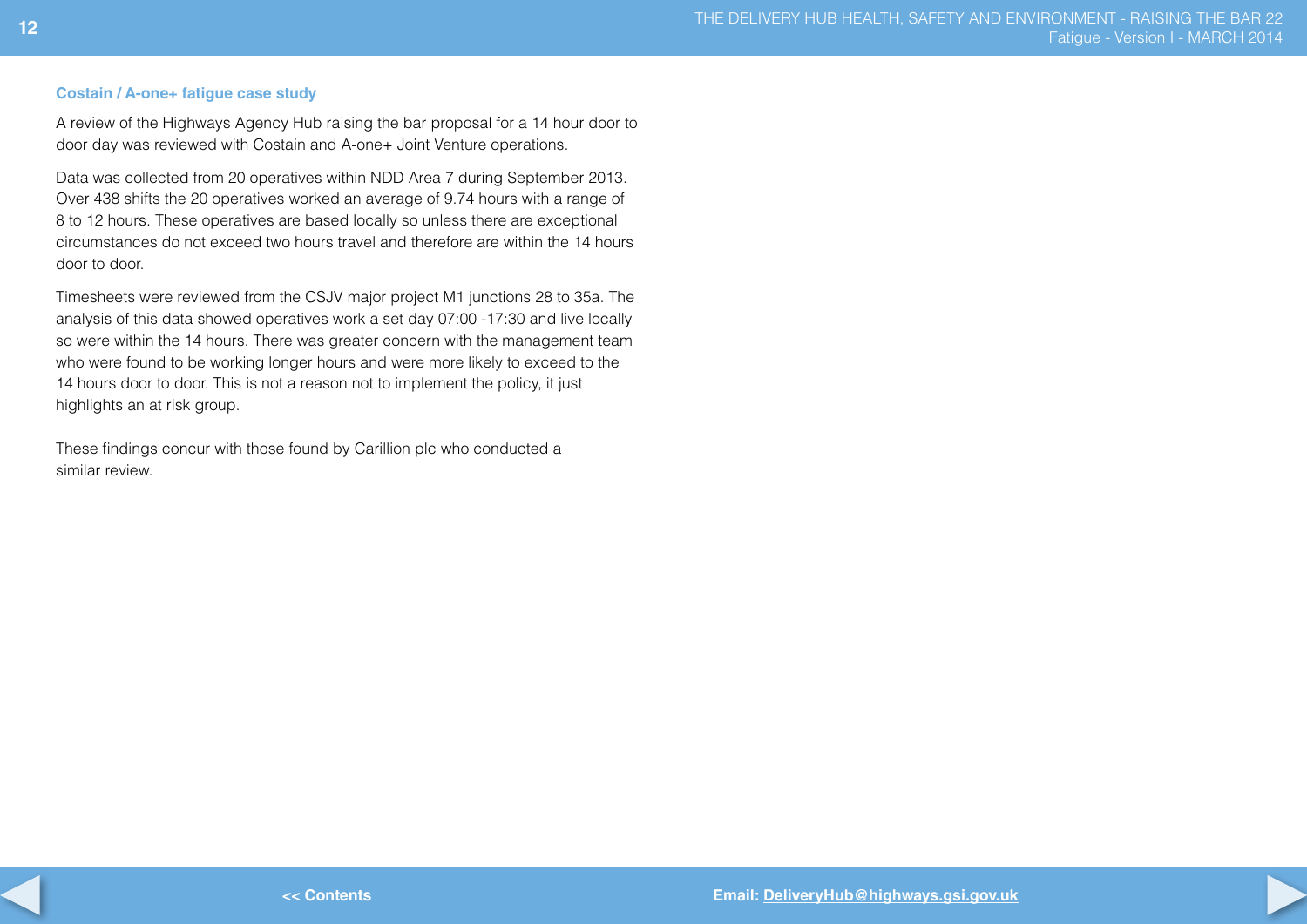#### **Costain / A-one+ fatigue case study**

A review of the Highways Agency Hub raising the bar proposal for a 14 hour door to door day was reviewed with Costain and A-one+ Joint Venture operations.

Data was collected from 20 operatives within NDD Area 7 during September 2013. Over 438 shifts the 20 operatives worked an average of 9.74 hours with a range of 8 to 12 hours. These operatives are based locally so unless there are exceptional circumstances do not exceed two hours travel and therefore are within the 14 hours door to door.

Timesheets were reviewed from the CSJV major project M1 junctions 28 to 35a. The analysis of this data showed operatives work a set day 07:00 -17:30 and live locally so were within the 14 hours. There was greater concern with the management team who were found to be working longer hours and were more likely to exceed to the 14 hours door to door. This is not a reason not to implement the policy, it just highlights an at risk group.

These findings concur with those found by Carillion plc who conducted a similar review.